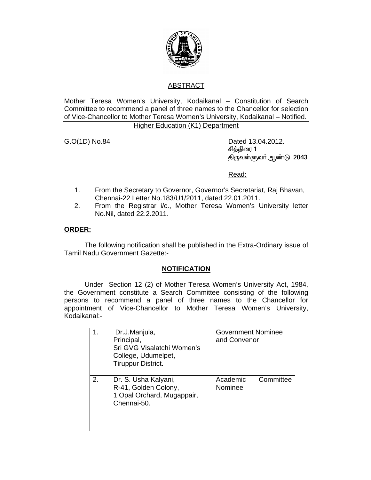

# ABSTRACT

Mother Teresa Women's University, Kodaikanal – Constitution of Search Committee to recommend a panel of three names to the Chancellor for selection of Vice-Chancellor to Mother Teresa Women's University, Kodaikanal – Notified.

# Higher Education (K1) Department

G.O(1D) No.84 Dated 13.04.2012. சித்திரை 1 திருவள்ளுவர் ஆண்டு 2043

<u>Read: Album and Album and Album and Album and Album and Album and Album and Album and Album and Album and Albu</u>

- 1. From the Secretary to Governor, Governor's Secretariat, Raj Bhavan, Chennai-22 Letter No.183/U1/2011, dated 22.01.2011.
- 2. From the Registrar i/c., Mother Teresa Women's University letter No.Nil, dated 22.2.2011.

#### **ORDER:**

 The following notification shall be published in the Extra-Ordinary issue of Tamil Nadu Government Gazette:-

#### **NOTIFICATION**

 Under Section 12 (2) of Mother Teresa Women's University Act, 1984, the Government constitute a Search Committee consisting of the following persons to recommend a panel of three names to the Chancellor for appointment of Vice-Chancellor to Mother Teresa Women's University, Kodaikanal:-

|    | Dr.J.Manjula,<br>Principal,<br>Sri GVG Visalatchi Women's<br>College, Udumelpet,<br>Tiruppur District. | <b>Government Nominee</b><br>and Convenor |  |
|----|--------------------------------------------------------------------------------------------------------|-------------------------------------------|--|
| 2. | Dr. S. Usha Kalyani,<br>R-41, Golden Colony,<br>1 Opal Orchard, Mugappair,<br>Chennai-50.              | Committee<br>Academic<br>Nominee          |  |